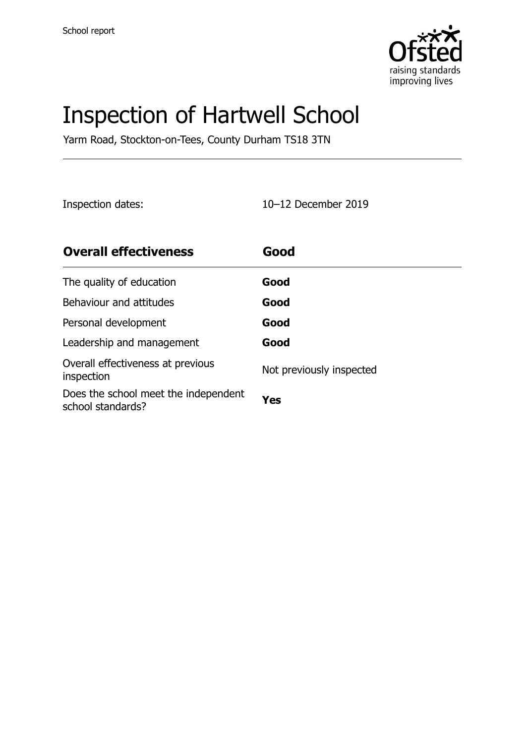

# Inspection of Hartwell School

Yarm Road, Stockton-on-Tees, County Durham TS18 3TN

Inspection dates: 10–12 December 2019

| <b>Overall effectiveness</b>                              | Good                     |
|-----------------------------------------------------------|--------------------------|
| The quality of education                                  | Good                     |
| Behaviour and attitudes                                   | Good                     |
| Personal development                                      | Good                     |
| Leadership and management                                 | Good                     |
| Overall effectiveness at previous<br>inspection           | Not previously inspected |
| Does the school meet the independent<br>school standards? | Yes                      |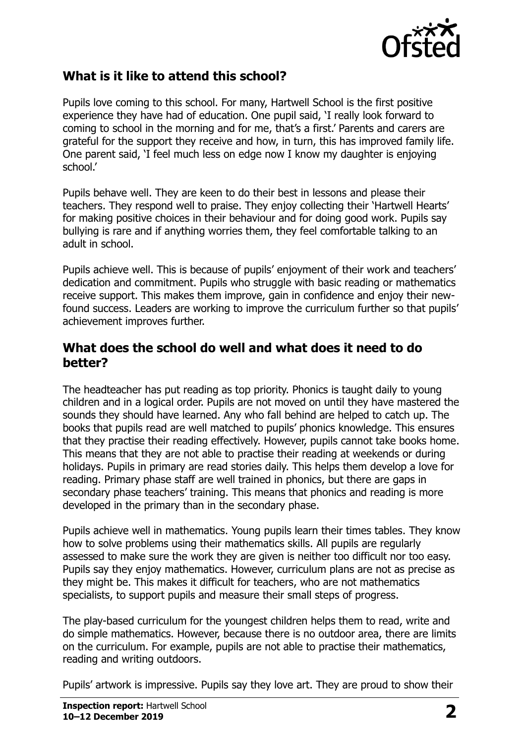

#### **What is it like to attend this school?**

Pupils love coming to this school. For many, Hartwell School is the first positive experience they have had of education. One pupil said, 'I really look forward to coming to school in the morning and for me, that's a first.' Parents and carers are grateful for the support they receive and how, in turn, this has improved family life. One parent said, 'I feel much less on edge now I know my daughter is enjoying school.'

Pupils behave well. They are keen to do their best in lessons and please their teachers. They respond well to praise. They enjoy collecting their 'Hartwell Hearts' for making positive choices in their behaviour and for doing good work. Pupils say bullying is rare and if anything worries them, they feel comfortable talking to an adult in school.

Pupils achieve well. This is because of pupils' enjoyment of their work and teachers' dedication and commitment. Pupils who struggle with basic reading or mathematics receive support. This makes them improve, gain in confidence and enjoy their newfound success. Leaders are working to improve the curriculum further so that pupils' achievement improves further.

#### **What does the school do well and what does it need to do better?**

The headteacher has put reading as top priority. Phonics is taught daily to young children and in a logical order. Pupils are not moved on until they have mastered the sounds they should have learned. Any who fall behind are helped to catch up. The books that pupils read are well matched to pupils' phonics knowledge. This ensures that they practise their reading effectively. However, pupils cannot take books home. This means that they are not able to practise their reading at weekends or during holidays. Pupils in primary are read stories daily. This helps them develop a love for reading. Primary phase staff are well trained in phonics, but there are gaps in secondary phase teachers' training. This means that phonics and reading is more developed in the primary than in the secondary phase.

Pupils achieve well in mathematics. Young pupils learn their times tables. They know how to solve problems using their mathematics skills. All pupils are regularly assessed to make sure the work they are given is neither too difficult nor too easy. Pupils say they enjoy mathematics. However, curriculum plans are not as precise as they might be. This makes it difficult for teachers, who are not mathematics specialists, to support pupils and measure their small steps of progress.

The play-based curriculum for the youngest children helps them to read, write and do simple mathematics. However, because there is no outdoor area, there are limits on the curriculum. For example, pupils are not able to practise their mathematics, reading and writing outdoors.

Pupils' artwork is impressive. Pupils say they love art. They are proud to show their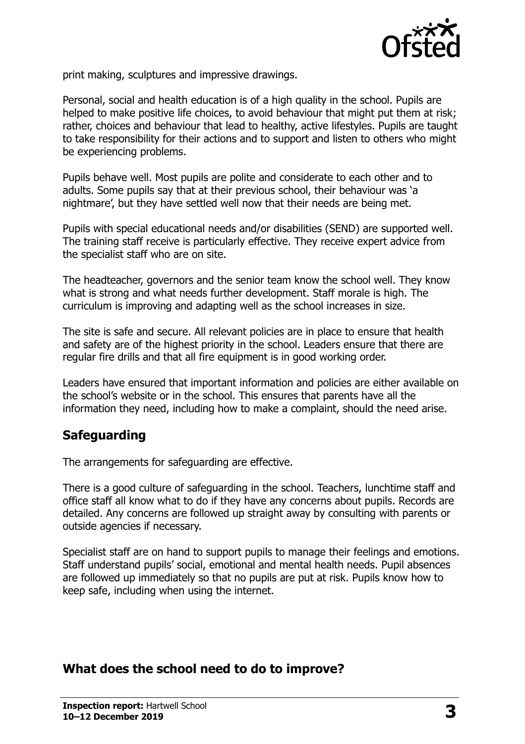

print making, sculptures and impressive drawings.

Personal, social and health education is of a high quality in the school. Pupils are helped to make positive life choices, to avoid behaviour that might put them at risk; rather, choices and behaviour that lead to healthy, active lifestyles. Pupils are taught to take responsibility for their actions and to support and listen to others who might be experiencing problems.

Pupils behave well. Most pupils are polite and considerate to each other and to adults. Some pupils say that at their previous school, their behaviour was 'a nightmare', but they have settled well now that their needs are being met.

Pupils with special educational needs and/or disabilities (SEND) are supported well. The training staff receive is particularly effective. They receive expert advice from the specialist staff who are on site.

The headteacher, governors and the senior team know the school well. They know what is strong and what needs further development. Staff morale is high. The curriculum is improving and adapting well as the school increases in size.

The site is safe and secure. All relevant policies are in place to ensure that health and safety are of the highest priority in the school. Leaders ensure that there are regular fire drills and that all fire equipment is in good working order.

Leaders have ensured that important information and policies are either available on the school's website or in the school. This ensures that parents have all the information they need, including how to make a complaint, should the need arise.

### **Safeguarding**

The arrangements for safeguarding are effective.

There is a good culture of safeguarding in the school. Teachers, lunchtime staff and office staff all know what to do if they have any concerns about pupils. Records are detailed. Any concerns are followed up straight away by consulting with parents or outside agencies if necessary.

Specialist staff are on hand to support pupils to manage their feelings and emotions. Staff understand pupils' social, emotional and mental health needs. Pupil absences are followed up immediately so that no pupils are put at risk. Pupils know how to keep safe, including when using the internet.

#### **What does the school need to do to improve?**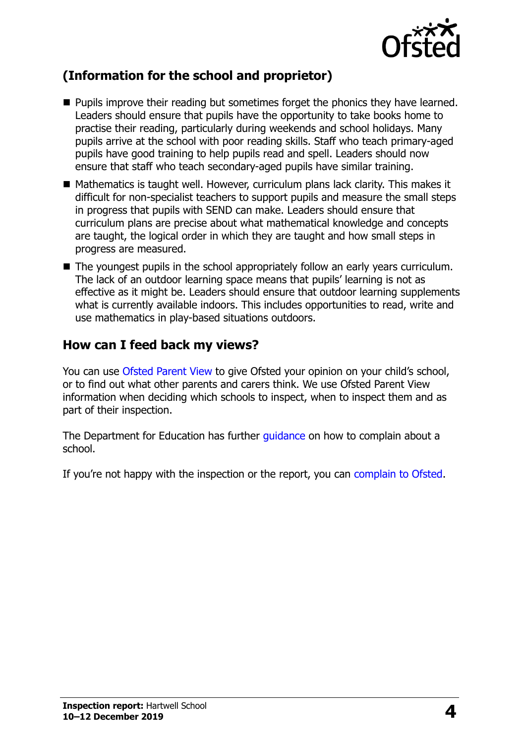

## **(Information for the school and proprietor)**

- **Pupils improve their reading but sometimes forget the phonics they have learned.** Leaders should ensure that pupils have the opportunity to take books home to practise their reading, particularly during weekends and school holidays. Many pupils arrive at the school with poor reading skills. Staff who teach primary-aged pupils have good training to help pupils read and spell. Leaders should now ensure that staff who teach secondary-aged pupils have similar training.
- Mathematics is taught well. However, curriculum plans lack clarity. This makes it difficult for non-specialist teachers to support pupils and measure the small steps in progress that pupils with SEND can make. Leaders should ensure that curriculum plans are precise about what mathematical knowledge and concepts are taught, the logical order in which they are taught and how small steps in progress are measured.
- The youngest pupils in the school appropriately follow an early years curriculum. The lack of an outdoor learning space means that pupils' learning is not as effective as it might be. Leaders should ensure that outdoor learning supplements what is currently available indoors. This includes opportunities to read, write and use mathematics in play-based situations outdoors.

#### **How can I feed back my views?**

You can use [Ofsted Parent View](http://parentview.ofsted.gov.uk/) to give Ofsted your opinion on your child's school, or to find out what other parents and carers think. We use Ofsted Parent View information when deciding which schools to inspect, when to inspect them and as part of their inspection.

The Department for Education has further quidance on how to complain about a school.

If you're not happy with the inspection or the report, you can [complain to Ofsted.](http://www.gov.uk/complain-ofsted-report)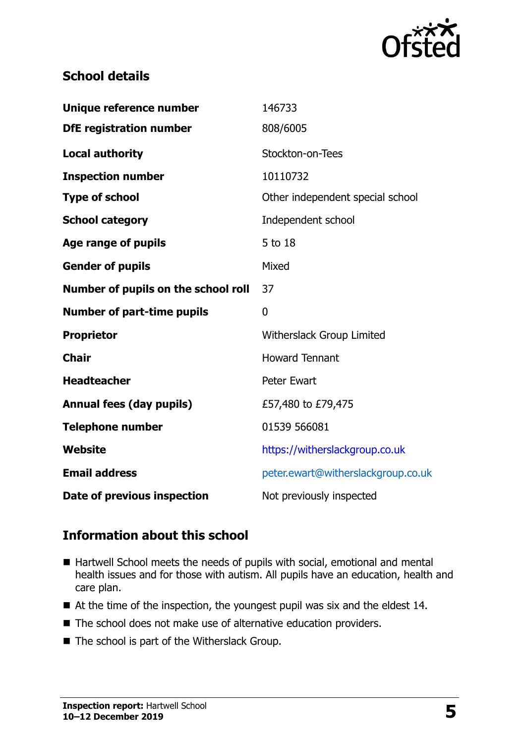

### **School details**

| Unique reference number             | 146733                             |
|-------------------------------------|------------------------------------|
| <b>DfE registration number</b>      | 808/6005                           |
| <b>Local authority</b>              | Stockton-on-Tees                   |
| <b>Inspection number</b>            | 10110732                           |
| <b>Type of school</b>               | Other independent special school   |
| <b>School category</b>              | Independent school                 |
| Age range of pupils                 | 5 to 18                            |
| <b>Gender of pupils</b>             | Mixed                              |
| Number of pupils on the school roll | 37                                 |
| <b>Number of part-time pupils</b>   | $\mathbf 0$                        |
| <b>Proprietor</b>                   | Witherslack Group Limited          |
| <b>Chair</b>                        | <b>Howard Tennant</b>              |
| <b>Headteacher</b>                  | <b>Peter Ewart</b>                 |
| <b>Annual fees (day pupils)</b>     | £57,480 to £79,475                 |
| <b>Telephone number</b>             | 01539 566081                       |
|                                     |                                    |
| <b>Website</b>                      | https://witherslackgroup.co.uk     |
| <b>Email address</b>                | peter.ewart@witherslackgroup.co.uk |

### **Information about this school**

- Hartwell School meets the needs of pupils with social, emotional and mental health issues and for those with autism. All pupils have an education, health and care plan.
- At the time of the inspection, the youngest pupil was six and the eldest 14.
- The school does not make use of alternative education providers.
- The school is part of the Witherslack Group.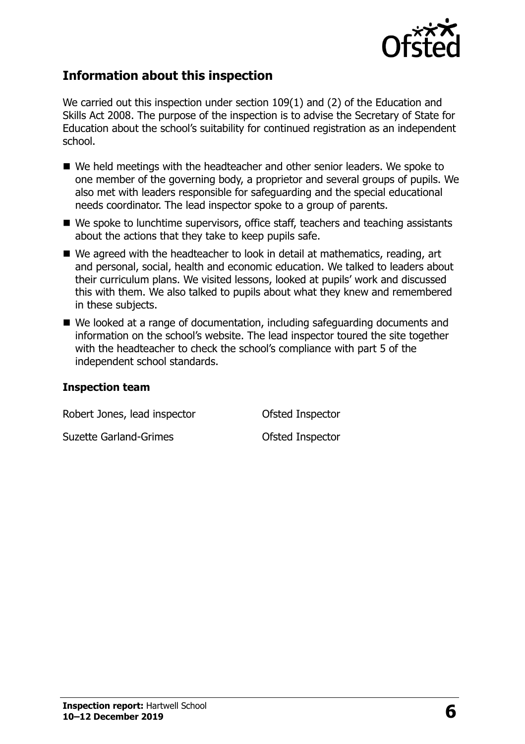

#### **Information about this inspection**

We carried out this inspection under section 109(1) and (2) of the Education and Skills Act 2008. The purpose of the inspection is to advise the Secretary of State for Education about the school's suitability for continued registration as an independent school.

- We held meetings with the headteacher and other senior leaders. We spoke to one member of the governing body, a proprietor and several groups of pupils. We also met with leaders responsible for safeguarding and the special educational needs coordinator. The lead inspector spoke to a group of parents.
- We spoke to lunchtime supervisors, office staff, teachers and teaching assistants about the actions that they take to keep pupils safe.
- We agreed with the headteacher to look in detail at mathematics, reading, art and personal, social, health and economic education. We talked to leaders about their curriculum plans. We visited lessons, looked at pupils' work and discussed this with them. We also talked to pupils about what they knew and remembered in these subjects.
- We looked at a range of documentation, including safeguarding documents and information on the school's website. The lead inspector toured the site together with the headteacher to check the school's compliance with part 5 of the independent school standards.

#### **Inspection team**

Robert Jones, lead inspector **Contact Contact Contact Contact Contact Contact Contact Contact Contact Contact Conta** 

Suzette Garland-Grimes **Constanting Constanting Constanting Constanting Constanting Constanting Constanting Constanting Constanting Constanting Constanting Constanting Constanting Constanting Constanting Constanting Consta**